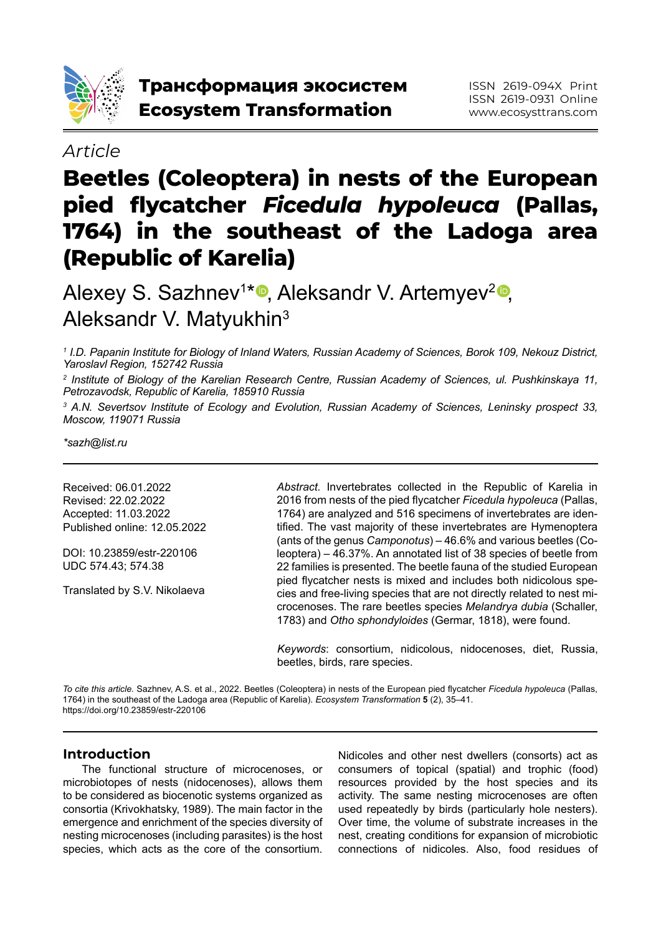

# *Article*

# **Beetles (Coleoptera) in nests of the European pied flycatcher** *Ficedula hypoleuca* **(Pallas, 1764) in the southeast of the Ladoga area (Republic of Karelia)**

Alexey S. Sazhnev<sup>1∗o</sup>, Aleksandr V. Artemyev<del><sup>2</sup>o,</del> Aleksandr V. Matyukhin3

*1 I.D. Papanin Institute for Biology of Inland Waters, Russian Academy of Sciences, Borok 109, Nekouz District, Yaroslavl Region, 152742 Russia*

*2 Institute of Biology of the Karelian Research Centre, Russian Academy of Sciences, ul. Pushkinskaya 11, Petrozavodsk, Republic of Karelia, 185910 Russia*

*3 A.N. Severtsov Institute of Ecology and Evolution, Russian Academy of Sciences, Leninsky prospect 33, Moscow, 119071 Russia*

*\*sazh@list.ru*

Received: 06.01.2022 Revised: 22.02.2022 Accepted: 11.03.2022 Published online: 12.05.2022

DOI: 10.23859/estr-220106 UDC 574.43; 574.38

Translated by S.V. Nikolaeva

*Abstract.* Invertebrates collected in the Republic of Karelia in 2016 from nests of the pied flycatcher *Ficedula hypoleuca* (Pallas, 1764) are analyzed and 516 specimens of invertebrates are identified. The vast majority of these invertebrates are Hymenoptera (ants of the genus *Camponotus*) – 46.6% and various beetles (Coleoptera) – 46.37%. An annotated list of 38 species of beetle from 22 families is presented. The beetle fauna of the studied European pied flycatcher nests is mixed and includes both nidicolous species and free-living species that are not directly related to nest microcenoses. The rare beetles species *Melandrya dubia* (Schaller, 1783) and *Otho sphondyloides* (Germar, 1818), were found.

*Keywords*: consortium, nidicolous, nidocenoses, diet, Russia, beetles, birds, rare species.

*To cite this article.* Sazhnev, A.S. et al., 2022. Beetles (Coleoptera) in nests of the European pied flycatcher *Ficedula hypoleuca* (Pallas, 1764) in the southeast of the Ladoga area (Republic of Karelia). *Ecosystem Transformation* **5** (2), 35–41. https://doi.org/10.23859/estr-220106

## **Introduction**

The functional structure of microcenoses, or microbiotopes of nests (nidocenoses), allows them to be considered as biocenotic systems organized as consortia (Krivokhatsky, 1989). The main factor in the emergence and enrichment of the species diversity of nesting microcenoses (including parasites) is the host species, which acts as the core of the consortium.

Nidicoles and other nest dwellers (consorts) act as consumers of topical (spatial) and trophic (food) resources provided by the host species and its activity. The same nesting microcenoses are often used repeatedly by birds (particularly hole nesters). Over time, the volume of substrate increases in the nest, creating conditions for expansion of microbiotic connections of nidicoles. Also, food residues of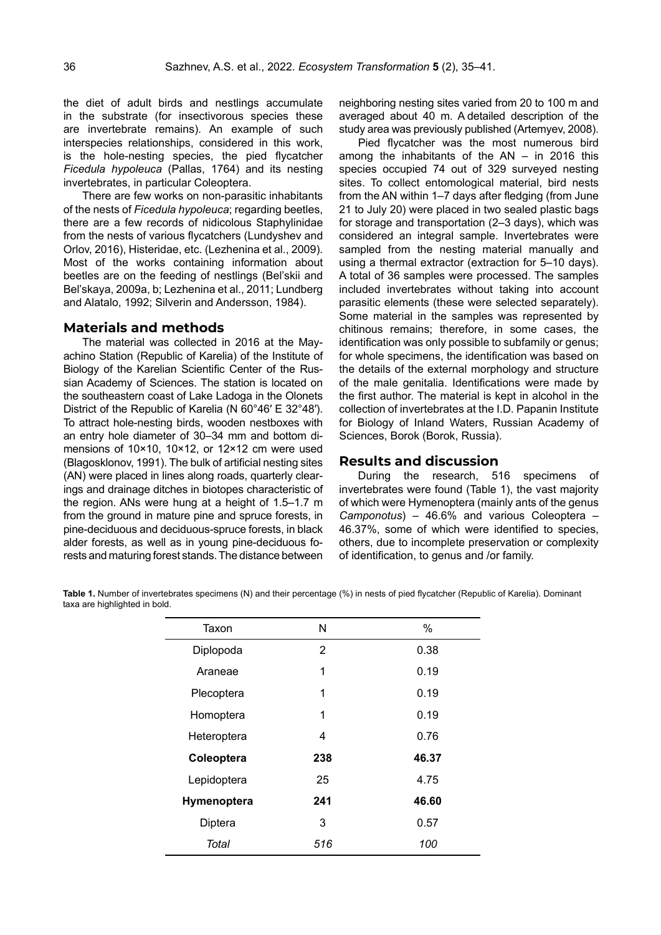the diet of adult birds and nestlings accumulate in the substrate (for insectivorous species these are invertebrate remains). An example of such interspecies relationships, considered in this work, is the hole-nesting species, the pied flycatcher *Ficedula hypoleuca* (Pallas, 1764) and its nesting invertebrates, in particular Coleoptera.

There are few works on non-parasitic inhabitants of the nests of *Ficedula hypoleuca*; regarding beetles, there are a few records of nidicolous Staphylinidae from the nests of various flycatchers (Lundyshev and Orlov, 2016), Histeridae, etc. (Lezhenina et al., 2009). Most of the works containing information about beetles are on the feeding of nestlings (Bel'skii and Bel'skaya, 2009a, b; Lezhenina et al., 2011; Lundberg and Alatalo, 1992; Silverin and Andersson, 1984).

#### **Materials and methods**

The material was collected in 2016 at the Mayachino Station (Republic of Karelia) of the Institute of Biology of the Karelian Scientific Center of the Russian Academy of Sciences. The station is located on the southeastern coast of Lake Ladoga in the Olonets District of the Republic of Karelia (N 60°46′ E 32°48′). To attract hole-nesting birds, wooden nestboxes with an entry hole diameter of 30–34 mm and bottom dimensions of 10×10, 10×12, or 12×12 cm were used (Blagosklonov, 1991). The bulk of artificial nesting sites (AN) were placed in lines along roads, quarterly clearings and drainage ditches in biotopes characteristic of the region. ANs were hung at a height of 1.5–1.7 m from the ground in mature pine and spruce forests, in pine-deciduous and deciduous-spruce forests, in black alder forests, as well as in young pine-deciduous forests and maturing forest stands. The distance between

neighboring nesting sites varied from 20 to 100 m and averaged about 40 m. A detailed description of the study area was previously published (Artemyev, 2008).

Pied flycatcher was the most numerous bird among the inhabitants of the AN – in 2016 this species occupied 74 out of 329 surveyed nesting sites. To collect entomological material, bird nests from the AN within 1–7 days after fledging (from June 21 to July 20) were placed in two sealed plastic bags for storage and transportation (2–3 days), which was considered an integral sample. Invertebrates were sampled from the nesting material manually and using a thermal extractor (extraction for 5–10 days). A total of 36 samples were processed. The samples included invertebrates without taking into account parasitic elements (these were selected separately). Some material in the samples was represented by chitinous remains; therefore, in some cases, the identification was only possible to subfamily or genus; for whole specimens, the identification was based on the details of the external morphology and structure of the male genitalia. Identifications were made by the first author. The material is kept in alcohol in the collection of invertebrates at the I.D. Papanin Institute for Biology of Inland Waters, Russian Academy of Sciences, Borok (Borok, Russia).

#### **Results and discussion**

During the research, 516 specimens of invertebrates were found (Table 1), the vast majority of which were Hymenoptera (mainly ants of the genus *Camponotus*) – 46.6% and various Coleoptera – 46.37%, some of which were identified to species, others, due to incomplete preservation or complexity of identification, to genus and /or family.

**Table 1.** Number of invertebrates specimens (N) and their percentage (%) in nests of pied flycatcher (Republic of Karelia). Dominant taxa are highlighted in bold.

| Taxon       | N              | $\%$  |
|-------------|----------------|-------|
| Diplopoda   | $\overline{2}$ | 0.38  |
| Araneae     | 1              | 0.19  |
| Plecoptera  | 1              | 0.19  |
| Homoptera   | 1              | 0.19  |
| Heteroptera | 4              | 0.76  |
| Coleoptera  | 238            | 46.37 |
| Lepidoptera | 25             | 4.75  |
| Hymenoptera | 241            | 46.60 |
| Diptera     | 3              | 0.57  |
| Total       | 516            | 100   |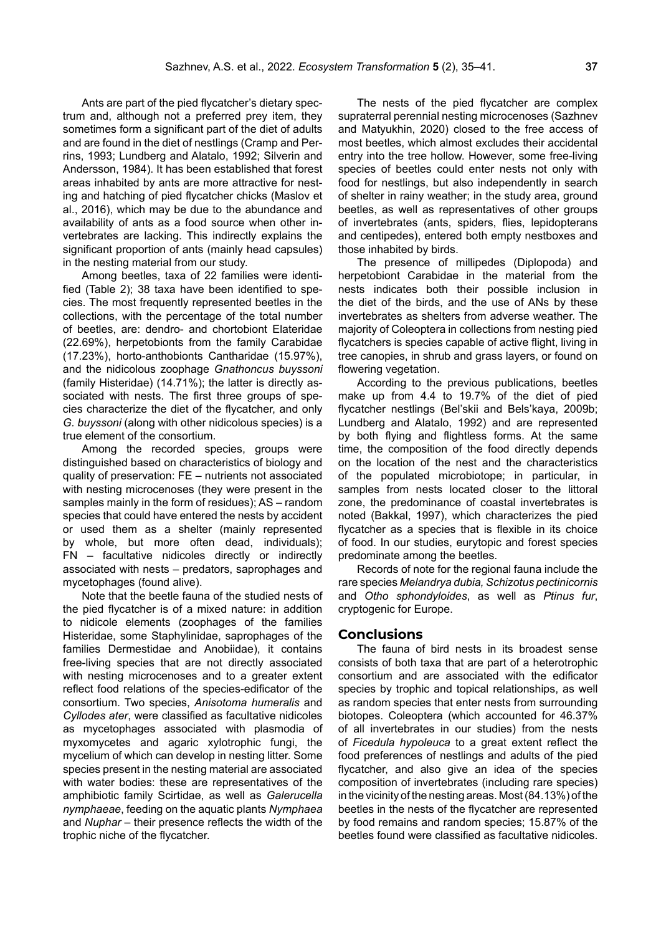Ants are part of the pied flycatcher's dietary spectrum and, although not a preferred prey item, they sometimes form a significant part of the diet of adults and are found in the diet of nestlings (Cramp and Perrins, 1993; Lundberg and Alatalo, 1992; Silverin and Andersson, 1984). It has been established that forest areas inhabited by ants are more attractive for nesting and hatching of pied flycatcher chicks (Maslov et al., 2016), which may be due to the abundance and availability of ants as a food source when other invertebrates are lacking. This indirectly explains the significant proportion of ants (mainly head capsules) in the nesting material from our study.

Among beetles, taxa of 22 families were identified (Table 2); 38 taxa have been identified to species. The most frequently represented beetles in the collections, with the percentage of the total number of beetles, are: dendro- and chortobiont Elateridae (22.69%), herpetobionts from the family Carabidae (17.23%), horto-anthobionts Cantharidae (15.97%), and the nidicolous zoophage *Gnathoncus buyssoni* (family Histeridae) (14.71%); the latter is directly associated with nests. The first three groups of species characterize the diet of the flycatcher, and only *G. buyssoni* (along with other nidicolous species) is a true element of the consortium.

Among the recorded species, groups were distinguished based on characteristics of biology and quality of preservation: FE – nutrients not associated with nesting microcenoses (they were present in the samples mainly in the form of residues); AS – random species that could have entered the nests by accident or used them as a shelter (mainly represented by whole, but more often dead, individuals); FN – facultative nidicoles directly or indirectly associated with nests – predators, saprophages and mycetophages (found alive).

Note that the beetle fauna of the studied nests of the pied flycatcher is of a mixed nature: in addition to nidicole elements (zoophages of the families Histeridae, some Staphylinidae, saprophages of the families Dermestidae and Anobiidae), it contains free-living species that are not directly associated with nesting microcenoses and to a greater extent reflect food relations of the species-edificator of the consortium. Two species, *Anisotoma humeralis* and *Cyllodes ater*, were classified as facultative nidicoles as mycetophages associated with plasmodia of myxomycetes and agaric xylotrophic fungi, the mycelium of which can develop in nesting litter. Some species present in the nesting material are associated with water bodies: these are representatives of the amphibiotic family Scirtidae, as well as *Galerucella nymphaeae*, feeding on the aquatic plants *Nymphaea* and *Nuphar* – their presence reflects the width of the trophic niche of the flycatcher.

The nests of the pied flycatcher are complex supraterral perennial nesting microcenoses (Sazhnev and Matyukhin, 2020) closed to the free access of most beetles, which almost excludes their accidental entry into the tree hollow. However, some free-living species of beetles could enter nests not only with food for nestlings, but also independently in search of shelter in rainy weather; in the study area, ground beetles, as well as representatives of other groups of invertebrates (ants, spiders, flies, lepidopterans and centipedes), entered both empty nestboxes and those inhabited by birds.

The presence of millipedes (Diplopoda) and herpetobiont Carabidae in the material from the nests indicates both their possible inclusion in the diet of the birds, and the use of ANs by these invertebrates as shelters from adverse weather. The majority of Coleoptera in collections from nesting pied flycatchers is species capable of active flight, living in tree canopies, in shrub and grass layers, or found on flowering vegetation.

According to the previous publications, beetles make up from 4.4 to 19.7% of the diet of pied flycatcher nestlings (Bel'skii and Bels'kaya, 2009b; Lundberg and Alatalo, 1992) and are represented by both flying and flightless forms. At the same time, the composition of the food directly depends on the location of the nest and the characteristics of the populated microbiotope; in particular, in samples from nests located closer to the littoral zone, the predominance of coastal invertebrates is noted (Bakkal, 1997), which characterizes the pied flycatcher as a species that is flexible in its choice of food. In our studies, eurytopic and forest species predominate among the beetles.

Records of note for the regional fauna include the rare species *Melandrya dubia, Schizotus pectinicornis* and *Otho sphondyloides*, as well as *Ptinus fur*, cryptogenic for Europe.

#### **Conclusions**

The fauna of bird nests in its broadest sense consists of both taxa that are part of a heterotrophic consortium and are associated with the edificator species by trophic and topical relationships, as well as random species that enter nests from surrounding biotopes. Coleoptera (which accounted for 46.37% of all invertebrates in our studies) from the nests of *Ficedula hypoleuca* to a great extent reflect the food preferences of nestlings and adults of the pied flycatcher, and also give an idea of the species composition of invertebrates (including rare species) in the vicinity of the nesting areas. Most (84.13%) of the beetles in the nests of the flycatcher are represented by food remains and random species; 15.87% of the beetles found were classified as facultative nidicoles.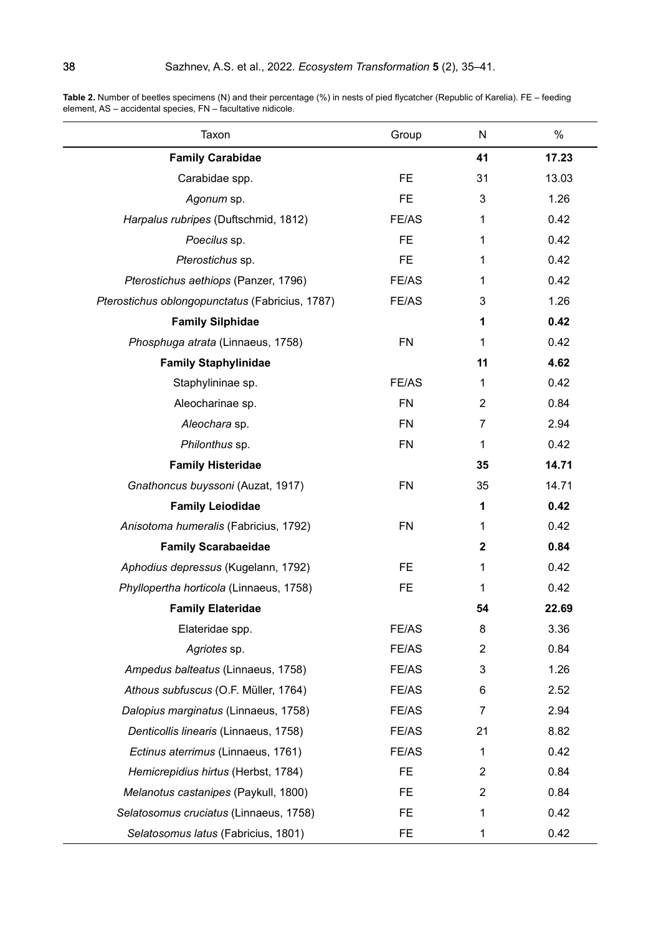| Taxon                                           | Group     | N                | $\%$  |
|-------------------------------------------------|-----------|------------------|-------|
| <b>Family Carabidae</b>                         |           | 41               | 17.23 |
| Carabidae spp.                                  | <b>FE</b> | 31               | 13.03 |
| Agonum sp.                                      | <b>FE</b> | 3                | 1.26  |
| Harpalus rubripes (Duftschmid, 1812)            | FE/AS     | 1                | 0.42  |
| Poecilus sp.                                    | <b>FE</b> | 1                | 0.42  |
| Pterostichus sp.                                | FE.       | 1                | 0.42  |
| Pterostichus aethiops (Panzer, 1796)            | FE/AS     | 1                | 0.42  |
| Pterostichus oblongopunctatus (Fabricius, 1787) | FE/AS     | 3                | 1.26  |
| <b>Family Silphidae</b>                         |           | 1                | 0.42  |
| Phosphuga atrata (Linnaeus, 1758)               | <b>FN</b> | 1                | 0.42  |
| <b>Family Staphylinidae</b>                     |           | 11               | 4.62  |
| Staphylininae sp.                               | FE/AS     | $\mathbf{1}$     | 0.42  |
| Aleocharinae sp.                                | <b>FN</b> | $\overline{2}$   | 0.84  |
| Aleochara sp.                                   | <b>FN</b> | 7                | 2.94  |
| Philonthus sp.                                  | <b>FN</b> | 1                | 0.42  |
| <b>Family Histeridae</b>                        |           | 35               | 14.71 |
| Gnathoncus buyssoni (Auzat, 1917)               | <b>FN</b> | 35               | 14.71 |
| <b>Family Leiodidae</b>                         |           | 1                | 0.42  |
| Anisotoma humeralis (Fabricius, 1792)           | <b>FN</b> | 1                | 0.42  |
| <b>Family Scarabaeidae</b>                      |           | $\boldsymbol{2}$ | 0.84  |
| Aphodius depressus (Kugelann, 1792)             | <b>FE</b> | 1                | 0.42  |
| Phyllopertha horticola (Linnaeus, 1758)         | <b>FE</b> | 1                | 0.42  |
| <b>Family Elateridae</b>                        |           | 54               | 22.69 |
| Elateridae spp.                                 | FE/AS     | 8                | 3.36  |
| Agriotes sp.                                    | FE/AS     | $\overline{2}$   | 0.84  |
| Ampedus balteatus (Linnaeus, 1758)              | FE/AS     | 3                | 1.26  |
| Athous subfuscus (O.F. Müller, 1764)            | FE/AS     | 6                | 2.52  |
| Dalopius marginatus (Linnaeus, 1758)            | FE/AS     | 7                | 2.94  |
| Denticollis linearis (Linnaeus, 1758)           | FE/AS     | 21               | 8.82  |
| Ectinus aterrimus (Linnaeus, 1761)              | FE/AS     | $\mathbf{1}$     | 0.42  |
| Hemicrepidius hirtus (Herbst, 1784)             | <b>FE</b> | $\overline{2}$   | 0.84  |
| Melanotus castanipes (Paykull, 1800)            | <b>FE</b> | $\overline{2}$   | 0.84  |
| Selatosomus cruciatus (Linnaeus, 1758)          | FE.       | 1                | 0.42  |
| Selatosomus latus (Fabricius, 1801)             | <b>FE</b> | 1                | 0.42  |

**Table 2.** Number of beetles specimens (N) and their percentage (%) in nests of pied flycatcher (Republic of Karelia). FE – feeding element, AS – accidental species, FN – facultative nidicole.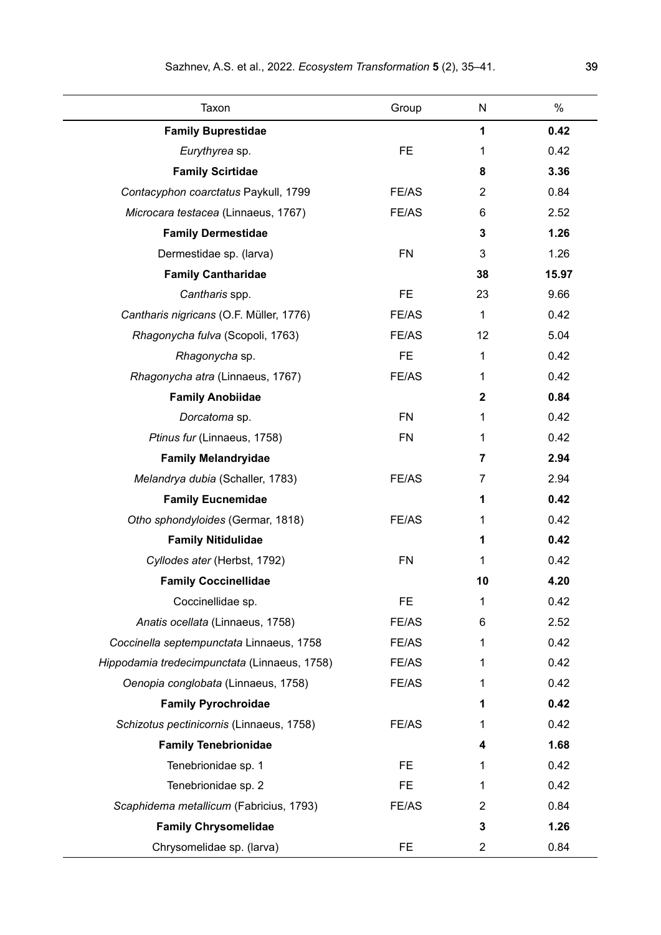| Taxon                                        | Group     | N               | $\%$  |
|----------------------------------------------|-----------|-----------------|-------|
| <b>Family Buprestidae</b>                    |           | 1               | 0.42  |
| Eurythyrea sp.                               | <b>FE</b> | 1               | 0.42  |
| <b>Family Scirtidae</b>                      |           | 8               | 3.36  |
| Contacyphon coarctatus Paykull, 1799         | FE/AS     | $\overline{2}$  | 0.84  |
| Microcara testacea (Linnaeus, 1767)          | FE/AS     | 6               | 2.52  |
| <b>Family Dermestidae</b>                    |           | 3               | 1.26  |
| Dermestidae sp. (larva)                      | <b>FN</b> | 3               | 1.26  |
| <b>Family Cantharidae</b>                    |           | 38              | 15.97 |
| Cantharis spp.                               | <b>FE</b> | 23              | 9.66  |
| Cantharis nigricans (O.F. Müller, 1776)      | FE/AS     | $\mathbf{1}$    | 0.42  |
| Rhagonycha fulva (Scopoli, 1763)             | FE/AS     | 12 <sup>2</sup> | 5.04  |
| Rhagonycha sp.                               | <b>FE</b> | 1               | 0.42  |
| Rhagonycha atra (Linnaeus, 1767)             | FE/AS     | 1               | 0.42  |
| <b>Family Anobiidae</b>                      |           | $\mathbf 2$     | 0.84  |
| Dorcatoma sp.                                | <b>FN</b> | 1               | 0.42  |
| Ptinus fur (Linnaeus, 1758)                  | <b>FN</b> | 1               | 0.42  |
| <b>Family Melandryidae</b>                   |           | 7               | 2.94  |
| Melandrya dubia (Schaller, 1783)             | FE/AS     | 7               | 2.94  |
| <b>Family Eucnemidae</b>                     |           | 1               | 0.42  |
| Otho sphondyloides (Germar, 1818)            | FE/AS     | 1               | 0.42  |
| <b>Family Nitidulidae</b>                    |           | 1               | 0.42  |
| Cyllodes ater (Herbst, 1792)                 | <b>FN</b> | 1               | 0.42  |
| <b>Family Coccinellidae</b>                  |           | 10              | 4.20  |
| Coccinellidae sp.                            | FE.       | 1               | 0.42  |
| Anatis ocellata (Linnaeus, 1758)             | FE/AS     | 6               | 2.52  |
| Coccinella septempunctata Linnaeus, 1758     | FE/AS     | 1               | 0.42  |
| Hippodamia tredecimpunctata (Linnaeus, 1758) | FE/AS     | 1               | 0.42  |
| Oenopia conglobata (Linnaeus, 1758)          | FE/AS     | 1               | 0.42  |
| <b>Family Pyrochroidae</b>                   |           | 1               | 0.42  |
| Schizotus pectinicornis (Linnaeus, 1758)     | FE/AS     | 1               | 0.42  |
| <b>Family Tenebrionidae</b>                  |           | 4               | 1.68  |
| Tenebrionidae sp. 1                          | FE.       | 1               | 0.42  |
| Tenebrionidae sp. 2                          | FE.       | 1               | 0.42  |
| Scaphidema metallicum (Fabricius, 1793)      | FE/AS     | 2               | 0.84  |
| <b>Family Chrysomelidae</b>                  |           | 3               | 1.26  |
| Chrysomelidae sp. (larva)                    | FE.       | 2               | 0.84  |

 $\overline{\phantom{0}}$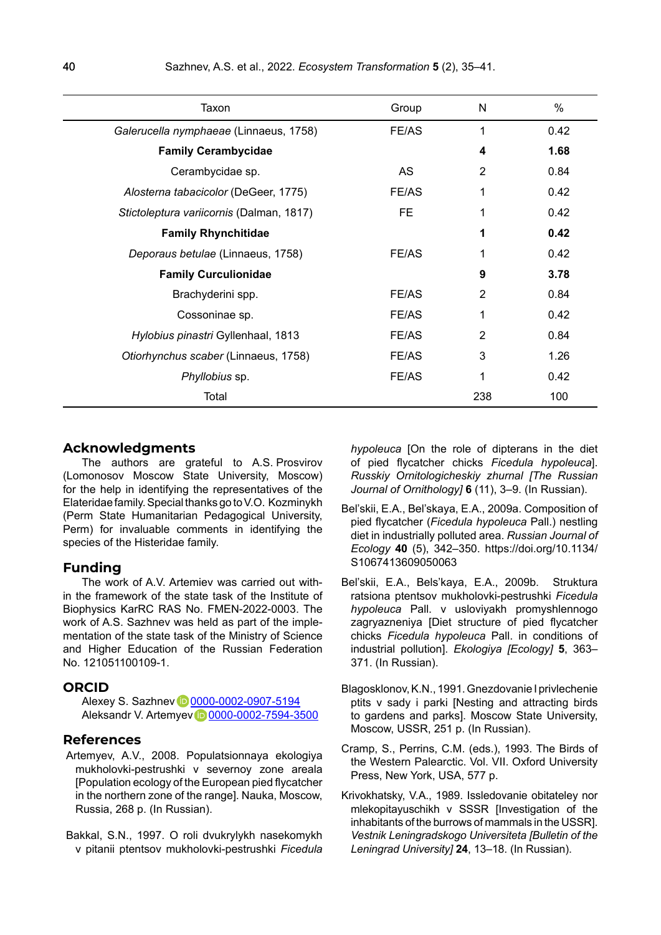| Taxon                                    | Group     | N              | %    |
|------------------------------------------|-----------|----------------|------|
| Galerucella nymphaeae (Linnaeus, 1758)   | FE/AS     | 1              | 0.42 |
| <b>Family Cerambycidae</b>               |           | 4              | 1.68 |
| Cerambycidae sp.                         | <b>AS</b> | 2              | 0.84 |
| Alosterna tabacicolor (DeGeer, 1775)     | FE/AS     | 1              | 0.42 |
| Stictoleptura variicornis (Dalman, 1817) | <b>FE</b> | 1              | 0.42 |
| <b>Family Rhynchitidae</b>               |           | 1              | 0.42 |
| Deporaus betulae (Linnaeus, 1758)        | FE/AS     |                | 0.42 |
| <b>Family Curculionidae</b>              |           | 9              | 3.78 |
| Brachyderini spp.                        | FE/AS     | 2              | 0.84 |
| Cossoninae sp.                           | FE/AS     | 1              | 0.42 |
| Hylobius pinastri Gyllenhaal, 1813       | FE/AS     | $\overline{2}$ | 0.84 |
| Otiorhynchus scaber (Linnaeus, 1758)     | FE/AS     | 3              | 1.26 |
| Phyllobius sp.                           | FE/AS     | 1              | 0.42 |
| Total                                    |           | 238            | 100  |

#### **Acknowledgments**

The authors are grateful to A.S. Prosvirov (Lomonosov Moscow State University, Moscow) for the help in identifying the representatives of the Elateridae family. Special thanks go to V.O. Kozminykh (Perm State Humanitarian Pedagogical University, Perm) for invaluable comments in identifying the species of the Histeridae family.

### **Funding**

The work of A.V. Artemiev was carried out within the framework of the state task of the Institute of Biophysics KarRC RAS No. FMEN-2022-0003. The work of A.S. Sazhnev was held as part of the implementation of the state task of the Ministry of Science and Higher Education of the Russian Federation No. 121051100109-1.

#### **ORCID**

Alexey S. Sazhney **10 [0000-0002-0907-5194](https://orcid.org/0000-0002-0907-5194)** Aleksandr V. Artemye[v](https://orcid.org/0000-0002-7594-3500) **D** [0000-0002-7594-3500](https://orcid.org/0000-0002-7594-3500)

#### **References**

- Artemyev, A.V., 2008. Populatsionnaya ekologiya mukholovki-pestrushki v severnoy zone areala [Population ecology of the European pied flycatcher in the northern zone of the range]. Nauka, Moscow, Russia, 268 p. (In Russian).
- Bakkal, S.N., 1997. O roli dvukrylykh nasekomykh v pitanii ptentsov mukholovki-pestrushki *Ficedula*

*hypoleuca* [On the role of dipterans in the diet of pied flycatcher chicks *Ficedula hypoleuca*]. *Russkiy Ornitologicheskiy zhurnal [The Russian Journal of Ornithology]* **6** (11), 3–9. (In Russian).

- Bel'skii, E.A., Bel'skaya, E.A., 2009a. Composition of pied flycatcher (*Ficedula hypoleuca* Pall.) nestling diet in industrially polluted area. *Russian Journal of Ecology* **40** (5), 342–350. https://doi.org/10.1134/ S1067413609050063
- Bel'skii, E.A., Bels'kaya, E.A., 2009b. Struktura ratsiona ptentsov mukholovki-pestrushki *Ficedula hypoleuca* Pall. v usloviyakh promyshlennogo zagryazneniya [Diet structure of pied flycatcher chicks *Ficedula hypoleuca* Pall. in conditions of industrial pollution]. *Ekologiya [Ecology]* **5**, 363– 371. (In Russian).
- Blagosklonov, K.N., 1991. Gnezdovanie I privlechenie ptits v sady i parki [Nesting and attracting birds to gardens and parks]. Moscow State University, Moscow, USSR, 251 p. (In Russian).
- Cramp, S., Perrins, C.M. (eds.), 1993. The Birds of the Western Palearctic. Vol. VII. Oxford University Press, New York, USA, 577 р.
- Krivokhatsky, V.A., 1989. Issledovanie obitateley nor mlekopitayuschikh v SSSR [Investigation of the inhabitants of the burrows of mammals in the USSR]. *Vestnik Leningradskogo Universiteta [Bulletin of the Leningrad University]* **24**, 13–18. (In Russian).